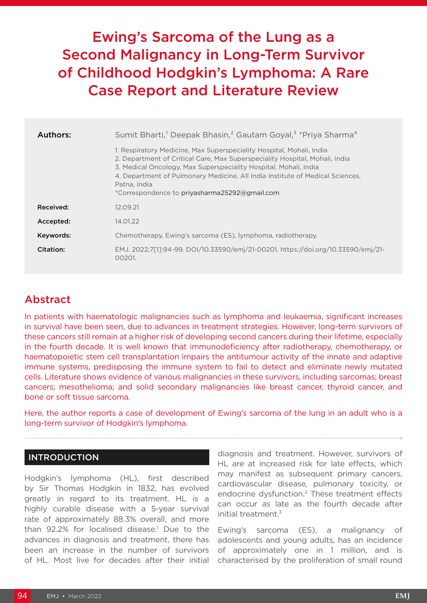# Ewing's Sarcoma of the Lung as a Second Malignancy in Long-Term Survivor of Childhood Hodgkin's Lymphoma: A Rare Case Report and Literature Review

| Authors:  | Sumit Bharti, <sup>1</sup> Deepak Bhasin, <sup>2</sup> Gautam Goyal, <sup>3</sup> *Priya Sharma <sup>4</sup>                                                                                                                                                                                                                                                              |
|-----------|---------------------------------------------------------------------------------------------------------------------------------------------------------------------------------------------------------------------------------------------------------------------------------------------------------------------------------------------------------------------------|
|           | 1. Respiratory Medicine, Max Superspeciality Hospital, Mohali, India<br>2. Department of Critical Care, Max Superspeciality Hospital, Mohali, India<br>3. Medical Oncology, Max Superspeciality Hospital, Mohali, India<br>4. Department of Pulmonary Medicine, All India Institute of Medical Sciences,<br>Patna, India<br>*Correspondence to priyasharma25292@gmail.com |
| Received: | 12.09.21                                                                                                                                                                                                                                                                                                                                                                  |
| Accepted: | 14.01.22                                                                                                                                                                                                                                                                                                                                                                  |
| Keywords: | Chemotherapy, Ewing's sarcoma (ES), lymphoma, radiotherapy.                                                                                                                                                                                                                                                                                                               |
| Citation: | EMJ. 2022;7[1]:94-99. DOI/10.33590/emj/21-00201. https://doi.org/10.33590/emj/21-<br>00201.                                                                                                                                                                                                                                                                               |

# Abstract

In patients with haematologic malignancies such as lymphoma and leukaemia, significant increases in survival have been seen, due to advances in treatment strategies. However, long-term survivors of these cancers still remain at a higher risk of developing second cancers during their lifetime, especially in the fourth decade. It is well known that immunodeficiency after radiotherapy, chemotherapy, or haematopoietic stem cell transplantation impairs the antitumour activity of the innate and adaptive immune systems, predisposing the immune system to fail to detect and eliminate newly mutated cells. Literature shows evidence of various malignancies in these survivors, including sarcomas; breast cancers; mesothelioma; and solid secondary malignancies like breast cancer, thyroid cancer, and bone or soft tissue sarcoma.

Here, the author reports a case of development of Ewing's sarcoma of the lung in an adult who is a long-term survivor of Hodgkin's lymphoma.

#### INTRODUCTION

Hodgkin's lymphoma (HL), first described by Sir Thomas Hodgkin in 1832, has evolved greatly in regard to its treatment. HL is a highly curable disease with a 5-year survival rate of approximately 88.3% overall, and more than 92.2% for localised disease.<sup>1</sup> Due to the advances in diagnosis and treatment, there has been an increase in the number of survivors of HL. Most live for decades after their initial

diagnosis and treatment. However, survivors of HL are at increased risk for late effects, which may manifest as subsequent primary cancers, cardiovascular disease, pulmonary toxicity, or endocrine dysfunction.<sup>2</sup> These treatment effects can occur as late as the fourth decade after initial treatment.3

Ewing's sarcoma (ES), a malignancy of adolescents and young adults, has an incidence of approximately one in 1 million, and is characterised by the proliferation of small round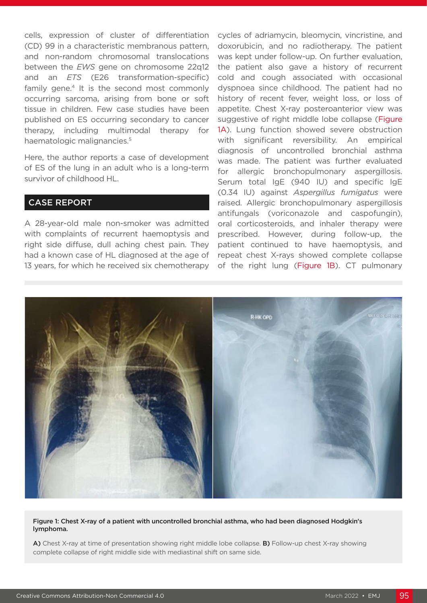cells, expression of cluster of differentiation (CD) 99 in a characteristic membranous pattern, and non-random chromosomal translocations between the *EWS* gene on chromosome 22q12 and an *ETS* (E26 transformation-specific) family gene.<sup>4</sup> It is the second most commonly occurring sarcoma, arising from bone or soft tissue in children. Few case studies have been published on ES occurring secondary to cancer therapy, including multimodal therapy for haematologic malignancies.<sup>5</sup>

Here, the author reports a case of development of ES of the lung in an adult who is a long-term survivor of childhood HL.

#### CASE REPORT

A 28-year-old male non-smoker was admitted with complaints of recurrent haemoptysis and right side diffuse, dull aching chest pain. They had a known case of HL diagnosed at the age of 13 years, for which he received six chemotherapy cycles of adriamycin, bleomycin, vincristine, and doxorubicin, and no radiotherapy. The patient was kept under follow-up. On further evaluation, the patient also gave a history of recurrent cold and cough associated with occasional dyspnoea since childhood. The patient had no history of recent fever, weight loss, or loss of appetite. Chest X-ray posteroanterior view was suggestive of right middle lobe collapse (Figure 1A). Lung function showed severe obstruction with significant reversibility. An empirical diagnosis of uncontrolled bronchial asthma was made. The patient was further evaluated for allergic bronchopulmonary aspergillosis. Serum total IgE (940 IU) and specific IgE (0.34 IU) against *Aspergillus fumigatus* were raised. Allergic bronchopulmonary aspergillosis antifungals (voriconazole and caspofungin), oral corticosteroids, and inhaler therapy were prescribed. However, during follow-up, the patient continued to have haemoptysis, and repeat chest X-rays showed complete collapse of the right lung (Figure 1B). CT pulmonary



#### Figure 1: Chest X-ray of a patient with uncontrolled bronchial asthma, who had been diagnosed Hodgkin's lymphoma.

A) Chest X-ray at time of presentation showing right middle lobe collapse. B) Follow-up chest X-ray showing complete collapse of right middle side with mediastinal shift on same side.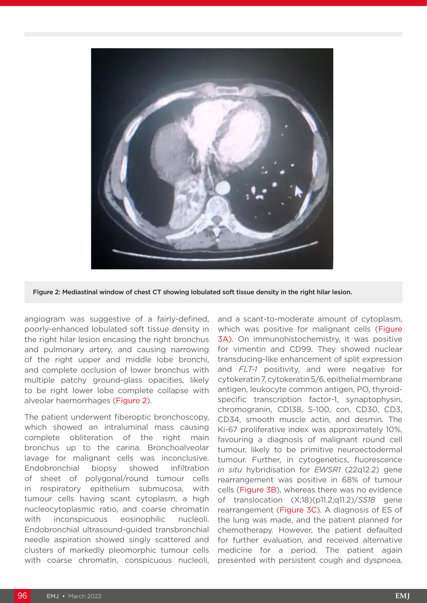

Figure 2: Mediastinal window of chest CT showing lobulated soft tissue density in the right hilar lesion.

angiogram was suggestive of a fairly-defined, poorly-enhanced lobulated soft tissue density in the right hilar lesion encasing the right bronchus and pulmonary artery, and causing narrowing of the right upper and middle lobe bronchi, and complete occlusion of lower bronchus with multiple patchy ground-glass opacities, likely to be right lower lobe complete collapse with alveolar haemorrhages (Figure 2).

The patient underwent fiberoptic bronchoscopy, which showed an intraluminal mass causing complete obliteration of the right main bronchus up to the carina. Bronchoalveolar lavage for malignant cells was inconclusive. Endobronchial biopsy showed infiltration of sheet of polygonal/round tumour cells in respiratory epithelium submucosa, with tumour cells having scant cytoplasm, a high nucleocytoplasmic ratio, and coarse chromatin with inconspicuous eosinophilic nucleoli. Endobronchial ultrasound-guided transbronchial needle aspiration showed singly scattered and clusters of markedly pleomorphic tumour cells with coarse chromatin, conspicuous nucleoli,

and a scant-to-moderate amount of cytoplasm, which was positive for malignant cells (Figure 3A). On immunohistochemistry, it was positive for vimentin and CD99. They showed nuclear transducing-like enhancement of split expression and *FLT-1* positivity, and were negative for cytokeratin 7, cytokeratin 5/6, epithelial membrane antigen, leukocyte common antigen, PO, thyroidspecific transcription factor-1, synaptophysin, chromogranin, CD138, S-100, con, CD30, CD3, CD34, smooth muscle actin, and desmin. The Ki-67 proliferative index was approximately 10%, favouring a diagnosis of malignant round cell tumour, likely to be primitive neuroectodermal tumour. Further, in cytogenetics, fluorescence *in situ* hybridisation for *EWSR1* (22q12.2) gene rearrangement was positive in 68% of tumour cells (Figure 3B), whereas there was no evidence of translocation (X;18)(p11.2;q11.2)/*SS18* gene rearrangement (Figure 3C). A diagnosis of ES of the lung was made, and the patient planned for chemotherapy. However, the patient defaulted for further evaluation, and received alternative medicine for a period. The patient again presented with persistent cough and dyspnoea,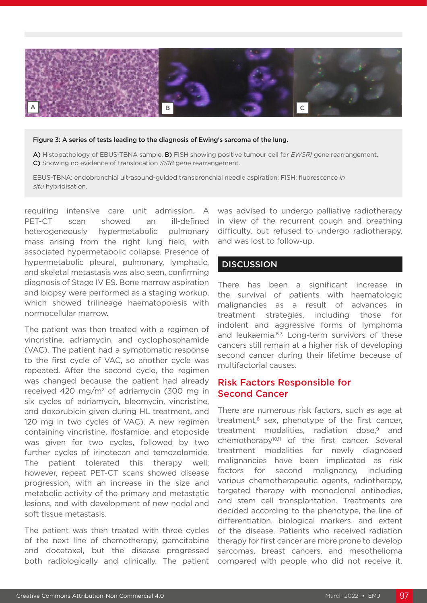

#### Figure 3: A series of tests leading to the diagnosis of Ewing's sarcoma of the lung.

A) Histopathology of EBUS-TBNA sample. B) FISH showing positive tumour cell for *EWSRI* gene rearrangement. C) Showing no evidence of translocation *SS18* gene rearrangement.

EBUS-TBNA: endobronchial ultrasound-guided transbronchial needle aspiration; FISH: fluorescence *in situ* hybridisation.

requiring intensive care unit admission. A PET-CT scan showed an ill-defined heterogeneously hypermetabolic pulmonary mass arising from the right lung field, with associated hypermetabolic collapse. Presence of hypermetabolic pleural, pulmonary, lymphatic, and skeletal metastasis was also seen, confirming diagnosis of Stage IV ES. Bone marrow aspiration and biopsy were performed as a staging workup, which showed trilineage haematopoiesis with normocellular marrow.

The patient was then treated with a regimen of vincristine, adriamycin, and cyclophosphamide (VAC). The patient had a symptomatic response to the first cycle of VAC, so another cycle was repeated. After the second cycle, the regimen was changed because the patient had already received 420 mg/m2 of adriamycin (300 mg in six cycles of adriamycin, bleomycin, vincristine, and doxorubicin given during HL treatment, and 120 mg in two cycles of VAC). A new regimen containing vincristine, ifosfamide, and etoposide was given for two cycles, followed by two further cycles of irinotecan and temozolomide. The patient tolerated this therapy well; however, repeat PET-CT scans showed disease progression, with an increase in the size and metabolic activity of the primary and metastatic lesions, and with development of new nodal and soft tissue metastasis.

The patient was then treated with three cycles of the next line of chemotherapy, gemcitabine and docetaxel, but the disease progressed both radiologically and clinically. The patient was advised to undergo palliative radiotherapy in view of the recurrent cough and breathing difficulty, but refused to undergo radiotherapy, and was lost to follow-up.

#### **DISCUSSION**

There has been a significant increase in the survival of patients with haematologic malignancies as a result of advances in treatment strategies, including those for indolent and aggressive forms of lymphoma and leukaemia.<sup>6,7,</sup> Long-term survivors of these cancers still remain at a higher risk of developing second cancer during their lifetime because of multifactorial causes.

#### Risk Factors Responsible for Second Cancer

There are numerous risk factors, such as age at treatment,<sup>8</sup> sex, phenotype of the first cancer, treatment modalities, radiation dose,<sup>9</sup> and chemotherapy $10,11$  of the first cancer. Several treatment modalities for newly diagnosed malignancies have been implicated as risk factors for second malignancy, including various chemotherapeutic agents, radiotherapy, targeted therapy with monoclonal antibodies, and stem cell transplantation. Treatments are decided according to the phenotype, the line of differentiation, biological markers, and extent of the disease. Patients who received radiation therapy for first cancer are more prone to develop sarcomas, breast cancers, and mesothelioma compared with people who did not receive it.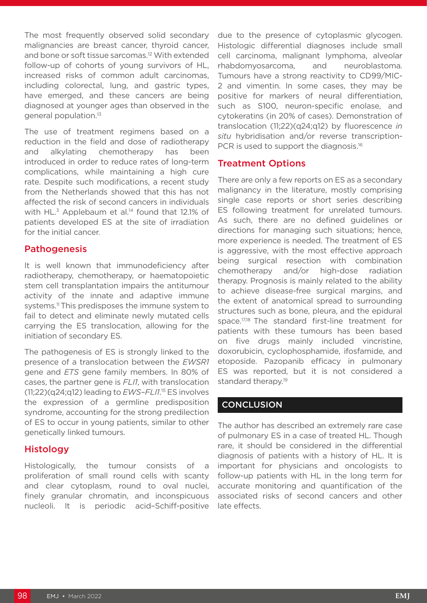The most frequently observed solid secondary malignancies are breast cancer, thyroid cancer, and bone or soft tissue sarcomas.12 With extended follow-up of cohorts of young survivors of HL, increased risks of common adult carcinomas, including colorectal, lung, and gastric types, have emerged, and these cancers are being diagnosed at younger ages than observed in the general population.13

The use of treatment regimens based on a reduction in the field and dose of radiotherapy and alkylating chemotherapy has been introduced in order to reduce rates of long-term complications, while maintaining a high cure rate. Despite such modifications, a recent study from the Netherlands showed that this has not affected the risk of second cancers in individuals with HL $<sup>3</sup>$  Applebaum et al.<sup>14</sup> found that 12.1% of</sup> patients developed ES at the site of irradiation for the initial cancer.

#### **Pathogenesis**

It is well known that immunodeficiency after radiotherapy, chemotherapy, or haematopoietic stem cell transplantation impairs the antitumour activity of the innate and adaptive immune systems.<sup>11</sup> This predisposes the immune system to fail to detect and eliminate newly mutated cells carrying the ES translocation, allowing for the initiation of secondary ES.

The pathogenesis of ES is strongly linked to the presence of a translocation between the *EWSR1* gene and *ETS* gene family members. In 80% of cases, the partner gene is *FLI1*, with translocation (11;22)(q24;q12) leading to *EWS–FLI1*. 15 ES involves the expression of a germline predisposition syndrome, accounting for the strong predilection of ES to occur in young patients, similar to other genetically linked tumours.

### Histology

Histologically, the tumour consists of a proliferation of small round cells with scanty and clear cytoplasm, round to oval nuclei, finely granular chromatin, and inconspicuous nucleoli. It is periodic acid–Schiff-positive due to the presence of cytoplasmic glycogen. Histologic differential diagnoses include small cell carcinoma, malignant lymphoma, alveolar rhabdomyosarcoma, and neuroblastoma. Tumours have a strong reactivity to CD99/MIC-2 and vimentin. In some cases, they may be positive for markers of neural differentiation, such as S100, neuron-specific enolase, and cytokeratins (in 20% of cases). Demonstration of translocation (11;22)(q24;q12) by fluorescence *in situ* hybridisation and/or reverse transcription-PCR is used to support the diagnosis.<sup>16</sup>

### Treatment Options

There are only a few reports on ES as a secondary malignancy in the literature, mostly comprising single case reports or short series describing ES following treatment for unrelated tumours. As such, there are no defined guidelines or directions for managing such situations; hence, more experience is needed. The treatment of ES is aggressive, with the most effective approach being surgical resection with combination chemotherapy and/or high-dose radiation therapy. Prognosis is mainly related to the ability to achieve disease-free surgical margins, and the extent of anatomical spread to surrounding structures such as bone, pleura, and the epidural space.<sup>17,18</sup> The standard first-line treatment for patients with these tumours has been based on five drugs mainly included vincristine, doxorubicin, cyclophosphamide, ifosfamide, and etoposide. Pazopanib efficacy in pulmonary ES was reported, but it is not considered a standard therapy.<sup>19</sup>

## **CONCLUSION**

The author has described an extremely rare case of pulmonary ES in a case of treated HL. Though rare, it should be considered in the differential diagnosis of patients with a history of HL. It is important for physicians and oncologists to follow-up patients with HL in the long term for accurate monitoring and quantification of the associated risks of second cancers and other late effects.